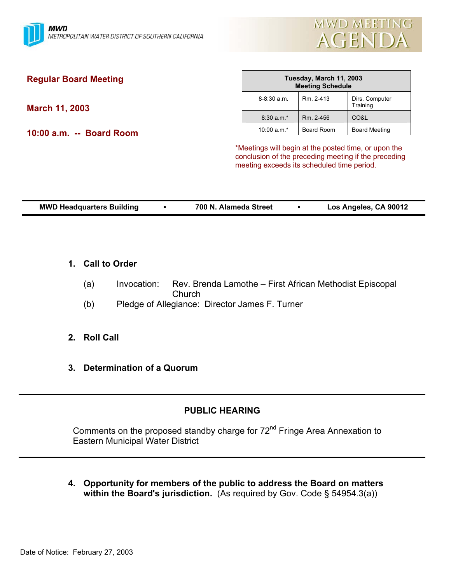

| <b>Regular Board Meeting</b> | Tuesday, March 11, 2003<br><b>Meeting Schedule</b>   |            |                            |
|------------------------------|------------------------------------------------------|------------|----------------------------|
| <b>March 11, 2003</b>        | $8-8:30$ a.m.                                        | Rm. 2-413  | Dirs. Computer<br>Training |
|                              | $8:30 a.m.*$                                         | Rm. 2-456  | CO&L                       |
| 10:00 a.m. -- Board Room     | 10:00 $a.m.*$                                        | Board Room | Board Meeting              |
|                              | *Meetings will begin at the posted time, or upon the |            |                            |

conclusion of the preceding meeting if the preceding meeting exceeds its scheduled time period.

| <b>MWD Headquarters Building</b> | 700 N. Alameda Street | Los Angeles, CA 90012 |
|----------------------------------|-----------------------|-----------------------|

- **1. Call to Order**
	- (a) Invocation: Rev. Brenda Lamothe First African Methodist Episcopal Church
	- (b) Pledge of Allegiance: Director James F. Turner
- **2. Roll Call**
- **3. Determination of a Quorum**

## **PUBLIC HEARING**

Comments on the proposed standby charge for 72<sup>nd</sup> Fringe Area Annexation to Eastern Municipal Water District

**4. Opportunity for members of the public to address the Board on matters within the Board's jurisdiction.** (As required by Gov. Code § 54954.3(a))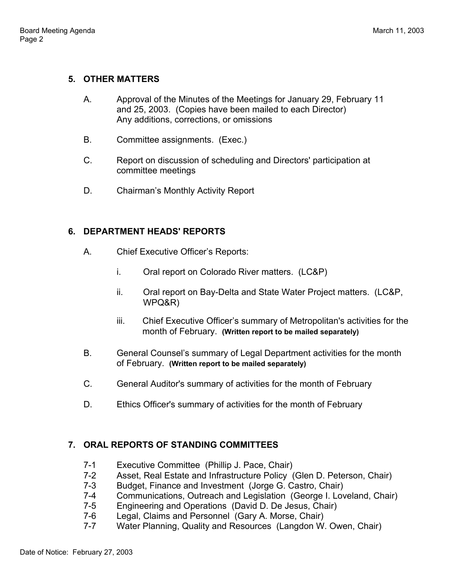## **5. OTHER MATTERS**

- A. Approval of the Minutes of the Meetings for January 29, February 11 and 25, 2003. (Copies have been mailed to each Director) Any additions, corrections, or omissions
- B. Committee assignments. (Exec.)
- C. Report on discussion of scheduling and Directors' participation at committee meetings
- D. Chairman's Monthly Activity Report

## **6. DEPARTMENT HEADS' REPORTS**

- A. Chief Executive Officer's Reports:
	- i. Oral report on Colorado River matters. (LC&P)
	- ii. Oral report on Bay-Delta and State Water Project matters. (LC&P, WPQ&R)
	- iii. Chief Executive Officer's summary of Metropolitan's activities for the month of February. **(Written report to be mailed separately)**
- B. General Counsel's summary of Legal Department activities for the month of February. **(Written report to be mailed separately)**
- C. General Auditor's summary of activities for the month of February
- D. Ethics Officer's summary of activities for the month of February

# **7. ORAL REPORTS OF STANDING COMMITTEES**

- 7-1 Executive Committee (Phillip J. Pace, Chair)
- 7-2 Asset, Real Estate and Infrastructure Policy (Glen D. Peterson, Chair)
- 7-3 Budget, Finance and Investment (Jorge G. Castro, Chair)
- 7-4 Communications, Outreach and Legislation (George I. Loveland, Chair)
- 7-5 Engineering and Operations (David D. De Jesus, Chair)
- 7-6 Legal, Claims and Personnel (Gary A. Morse, Chair)
- 7-7 Water Planning, Quality and Resources (Langdon W. Owen, Chair)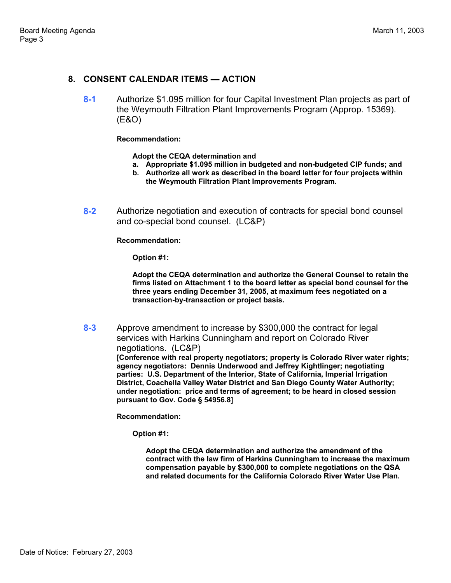## **8. CONSENT CALENDAR ITEMS — ACTION**

**8-1** Authorize \$1.095 million for four Capital Investment Plan projects as part of the Weymouth Filtration Plant Improvements Program (Approp. 15369). (E&O)

#### **Recommendation:**

**Adopt the CEQA determination and** 

- **a. Appropriate \$1.095 million in budgeted and non-budgeted CIP funds; and**
- **b. Authorize all work as described in the board letter for four projects within the Weymouth Filtration Plant Improvements Program.**
- **8-2** Authorize negotiation and execution of contracts for special bond counsel and co-special bond counsel. (LC&P)

#### **Recommendation:**

**Option #1:** 

**Adopt the CEQA determination and authorize the General Counsel to retain the firms listed on Attachment 1 to the board letter as special bond counsel for the three years ending December 31, 2005, at maximum fees negotiated on a transaction-by-transaction or project basis.** 

**8-3** Approve amendment to increase by \$300,000 the contract for legal services with Harkins Cunningham and report on Colorado River negotiations. (LC&P) **[Conference with real property negotiators; property is Colorado River water rights; agency negotiators: Dennis Underwood and Jeffrey Kightlinger; negotiating parties: U.S. Department of the Interior, State of California, Imperial Irrigation District, Coachella Valley Water District and San Diego County Water Authority; under negotiation: price and terms of agreement; to be heard in closed session pursuant to Gov. Code § 54956.8]** 

**Recommendation:** 

**Option #1:** 

**Adopt the CEQA determination and authorize the amendment of the contract with the law firm of Harkins Cunningham to increase the maximum compensation payable by \$300,000 to complete negotiations on the QSA and related documents for the California Colorado River Water Use Plan.**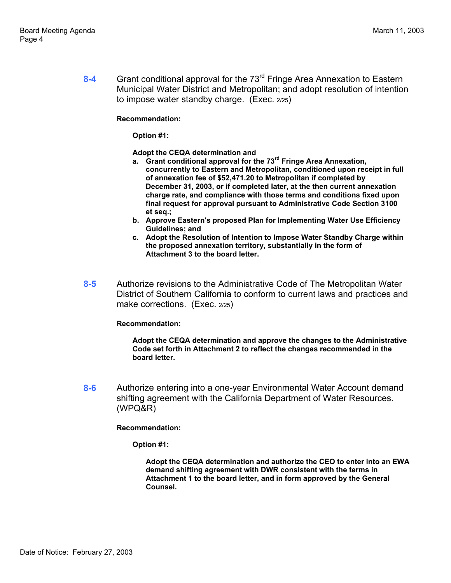**8-4** Grant conditional approval for the 73rd Fringe Area Annexation to Eastern Municipal Water District and Metropolitan; and adopt resolution of intention to impose water standby charge. (Exec. 2/25)

### **Recommendation:**

**Option #1:** 

**Adopt the CEQA determination and** 

- **a. Grant conditional approval for the 73rd Fringe Area Annexation, concurrently to Eastern and Metropolitan, conditioned upon receipt in full of annexation fee of \$52,471.20 to Metropolitan if completed by December 31, 2003, or if completed later, at the then current annexation charge rate, and compliance with those terms and conditions fixed upon final request for approval pursuant to Administrative Code Section 3100 et seq.;**
- **b. Approve Eastern's proposed Plan for Implementing Water Use Efficiency Guidelines; and**
- **c. Adopt the Resolution of Intention to Impose Water Standby Charge within the proposed annexation territory, substantially in the form of Attachment 3 to the board letter.**
- **8-5** Authorize revisions to the Administrative Code of The Metropolitan Water District of Southern California to conform to current laws and practices and make corrections. (Exec. 2/25)

### **Recommendation:**

**Adopt the CEQA determination and approve the changes to the Administrative Code set forth in Attachment 2 to reflect the changes recommended in the board letter.** 

**8-6** Authorize entering into a one-year Environmental Water Account demand shifting agreement with the California Department of Water Resources. (WPQ&R)

### **Recommendation:**

**Option #1:** 

**Adopt the CEQA determination and authorize the CEO to enter into an EWA demand shifting agreement with DWR consistent with the terms in Attachment 1 to the board letter, and in form approved by the General Counsel.**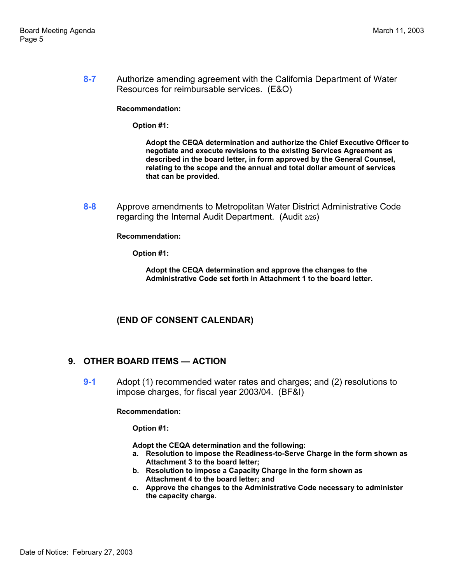**8-7** Authorize amending agreement with the California Department of Water Resources for reimbursable services. (E&O)

**Recommendation:** 

**Option #1:** 

**Adopt the CEQA determination and authorize the Chief Executive Officer to negotiate and execute revisions to the existing Services Agreement as described in the board letter, in form approved by the General Counsel, relating to the scope and the annual and total dollar amount of services that can be provided.** 

**8-8** Approve amendments to Metropolitan Water District Administrative Code regarding the Internal Audit Department. (Audit 2/25)

**Recommendation:** 

**Option #1:** 

**Adopt the CEQA determination and approve the changes to the Administrative Code set forth in Attachment 1 to the board letter.** 

# **(END OF CONSENT CALENDAR)**

## **9. OTHER BOARD ITEMS — ACTION**

**9-1** Adopt (1) recommended water rates and charges; and (2) resolutions to impose charges, for fiscal year 2003/04. (BF&I)

### **Recommendation:**

**Option #1:** 

**Adopt the CEQA determination and the following:** 

- **a. Resolution to impose the Readiness-to-Serve Charge in the form shown as Attachment 3 to the board letter;**
- **b. Resolution to impose a Capacity Charge in the form shown as Attachment 4 to the board letter; and**
- **c. Approve the changes to the Administrative Code necessary to administer the capacity charge.**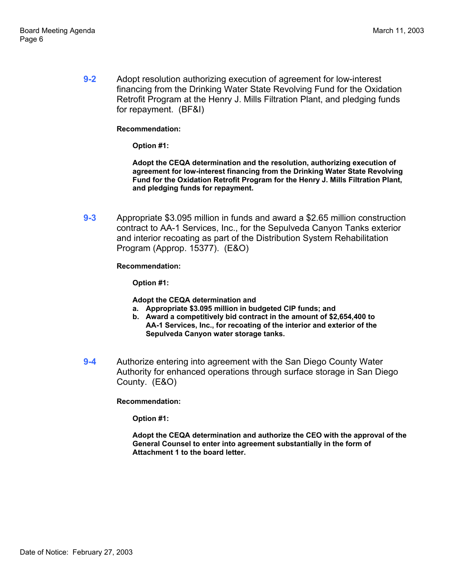**9-2** Adopt resolution authorizing execution of agreement for low-interest financing from the Drinking Water State Revolving Fund for the Oxidation Retrofit Program at the Henry J. Mills Filtration Plant, and pledging funds for repayment. (BF&I)

### **Recommendation:**

**Option #1:** 

**Adopt the CEQA determination and the resolution, authorizing execution of agreement for low-interest financing from the Drinking Water State Revolving Fund for the Oxidation Retrofit Program for the Henry J. Mills Filtration Plant, and pledging funds for repayment.** 

**9-3** Appropriate \$3.095 million in funds and award a \$2.65 million construction contract to AA-1 Services, Inc., for the Sepulveda Canyon Tanks exterior and interior recoating as part of the Distribution System Rehabilitation Program (Approp. 15377). (E&O)

### **Recommendation:**

**Option #1:** 

**Adopt the CEQA determination and** 

- **a. Appropriate \$3.095 million in budgeted CIP funds; and**
- **b. Award a competitively bid contract in the amount of \$2,654,400 to AA-1 Services, Inc., for recoating of the interior and exterior of the Sepulveda Canyon water storage tanks.**
- **9-4** Authorize entering into agreement with the San Diego County Water Authority for enhanced operations through surface storage in San Diego County. (E&O)

**Recommendation:** 

**Option #1:** 

**Adopt the CEQA determination and authorize the CEO with the approval of the General Counsel to enter into agreement substantially in the form of Attachment 1 to the board letter.**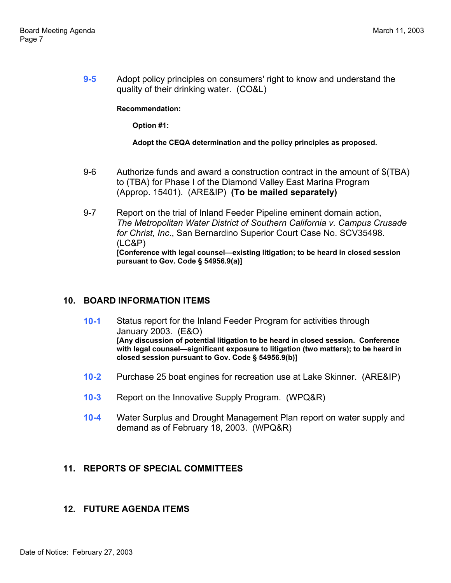**9-5** Adopt policy principles on consumers' right to know and understand the quality of their drinking water. (CO&L)

**Recommendation:** 

**Option #1:** 

### **Adopt the CEQA determination and the policy principles as proposed.**

- 9-6 Authorize funds and award a construction contract in the amount of \$(TBA) to (TBA) for Phase I of the Diamond Valley East Marina Program (Approp. 15401). (ARE&IP) **(To be mailed separately)**
- 9-7 Report on the trial of Inland Feeder Pipeline eminent domain action, *The Metropolitan Water District of Southern California v. Campus Crusade for Christ, Inc*., San Bernardino Superior Court Case No. SCV35498. (LC&P) **[Conference with legal counsel—existing litigation; to be heard in closed session pursuant to Gov. Code § 54956.9(a)]**

## **10. BOARD INFORMATION ITEMS**

- **10-1** Status report for the Inland Feeder Program for activities through January 2003. (E&O) **[Any discussion of potential litigation to be heard in closed session. Conference with legal counsel—significant exposure to litigation (two matters); to be heard in closed session pursuant to Gov. Code § 54956.9(b)]**
- **10-2** Purchase 25 boat engines for recreation use at Lake Skinner. (ARE&IP)
- **10-3** Report on the Innovative Supply Program. (WPQ&R)
- **10-4** Water Surplus and Drought Management Plan report on water supply and demand as of February 18, 2003. (WPQ&R)

## **11. REPORTS OF SPECIAL COMMITTEES**

## **12. FUTURE AGENDA ITEMS**